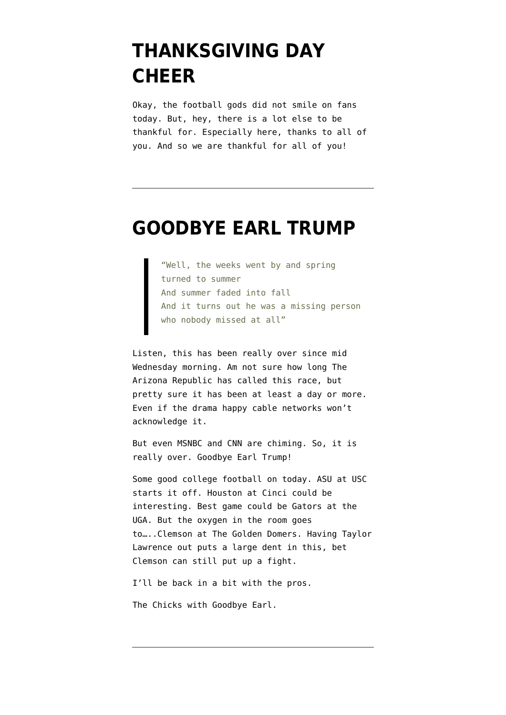## **[THANKSGIVING DAY](https://www.emptywheel.net/2020/11/26/thanksgiving-day-cheer/) [CHEER](https://www.emptywheel.net/2020/11/26/thanksgiving-day-cheer/)**

Okay, the football gods did not smile on fans today. But, hey, there is a lot else to be thankful for. Especially here, thanks to all of you. And so we are thankful for all of you!

#### **[GOODBYE EARL TRUMP](https://www.emptywheel.net/2020/11/07/goodbye-earl-trump/)**

"Well, the weeks went by and spring turned to summer And summer faded into fall And it turns out he was a missing person who nobody missed at all"

Listen, this has been really over since mid Wednesday morning. Am not sure how long The Arizona Republic has called this race, but pretty sure it has been at least a day or more. Even if the drama happy cable networks won't acknowledge it.

But even MSNBC and CNN are chiming. So, it is really over. Goodbye Earl Trump!

Some good college football on today. ASU at USC starts it off. Houston at Cinci could be interesting. Best game could be Gators at the UGA. But the oxygen in the room goes to…..Clemson at The Golden Domers. Having Taylor Lawrence out puts a large dent in this, bet Clemson can still put up a fight.

I'll be back in a bit with the pros.

The Chicks with Goodbye Earl.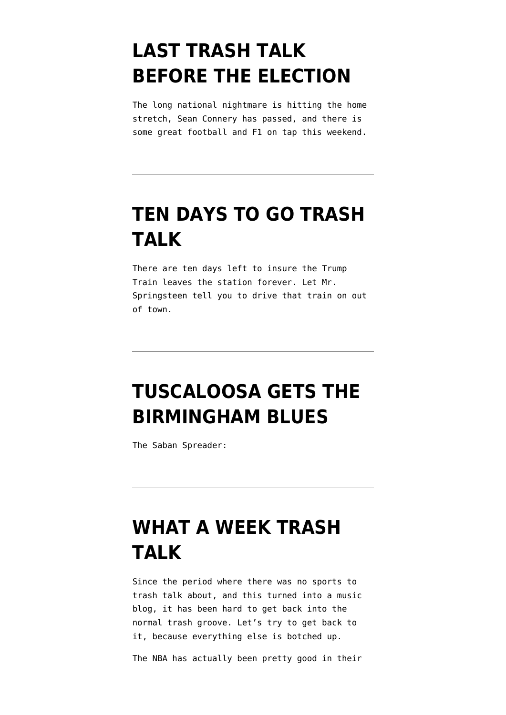# **[LAST TRASH TALK](https://www.emptywheel.net/2020/10/31/last-trash-talk-before-the-election/) [BEFORE THE ELECTION](https://www.emptywheel.net/2020/10/31/last-trash-talk-before-the-election/)**

The long national nightmare is hitting the home stretch, Sean Connery has passed, and there is some great football and F1 on tap this weekend.

### **[TEN DAYS TO GO TRASH](https://www.emptywheel.net/2020/10/24/ten-days-to-go-trash-talk/) [TALK](https://www.emptywheel.net/2020/10/24/ten-days-to-go-trash-talk/)**

There are ten days left to insure the Trump Train leaves the station forever. Let Mr. Springsteen tell you to drive that train on out of town.

# **[TUSCALOOSA GETS THE](https://www.emptywheel.net/2020/10/17/tuscaloosa-gets-the-birmingham-blues/) [BIRMINGHAM BLUES](https://www.emptywheel.net/2020/10/17/tuscaloosa-gets-the-birmingham-blues/)**

The Saban Spreader:

### **[WHAT A WEEK TRASH](https://www.emptywheel.net/2020/10/04/what-a-week-trash-talk/) [TALK](https://www.emptywheel.net/2020/10/04/what-a-week-trash-talk/)**

Since the period where there was no sports to trash talk about, and this turned into a music blog, it has been hard to get back into the normal trash groove. Let's try to get back to it, because everything else is botched up.

The NBA has actually been pretty good in their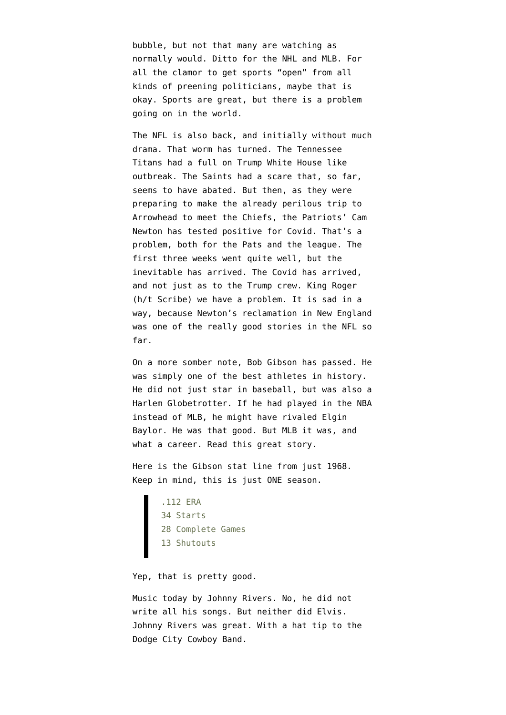bubble, but not that many are watching as normally would. Ditto for the NHL and MLB. For all the clamor to get sports "open" from all kinds of preening politicians, maybe that is okay. Sports are great, but there is a problem going on in the world.

The NFL is also back, and initially without much drama. That worm has turned. The Tennessee Titans had a full on Trump White House like outbreak. The Saints had a scare that, so far, seems to have abated. But then, as they were preparing to make the already perilous trip to Arrowhead to meet the Chiefs, the Patriots' Cam Newton has tested positive for Covid. That's a problem, both for the Pats and the league. The first three weeks went quite well, but the inevitable has arrived. The Covid has arrived, and not just as to the Trump crew. King Roger (h/t Scribe) we have a problem. It is sad in a way, because Newton's reclamation in New England was one of the really good stories in the NFL so far.

On a more somber note, Bob Gibson has passed. He was simply one of the best athletes in history. He did not just star in baseball, but was also a Harlem Globetrotter. If he had played in the NBA instead of MLB, he might have rivaled Elgin Baylor. He was that good. But MLB it was, and what a career[. Read this great story.](https://theathletic.com/1578309/2020/02/11/the-baseball-100-no-45-bob-gibson/)

Here is the Gibson stat line from just 1968. Keep in mind, this is just ONE season.

> .112 ERA 34 Starts 28 Complete Games 13 Shutouts

Yep, that is pretty good.

Music today by Johnny Rivers. No, he did not write all his songs. But neither did Elvis. [Johnny Rivers was great.](https://www.youtube.com/watch?v=qDG7ZdfBFRU) With a hat tip to the [Dodge City Cowboy Band](https://www.emptywheel.net/wp-content/uploads/2020/10/Screen-Shot-2020-10-03-at-3.57.12-AM.png).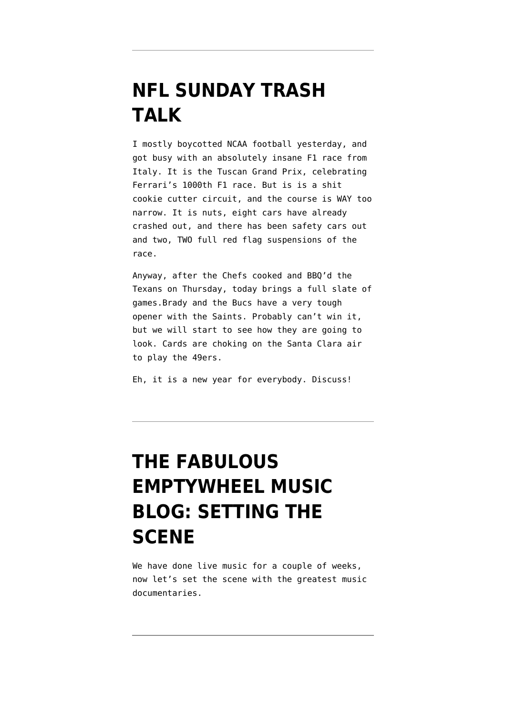## **[NFL SUNDAY TRASH](https://www.emptywheel.net/2020/09/13/nfl-sunday-trash-talk/) [TALK](https://www.emptywheel.net/2020/09/13/nfl-sunday-trash-talk/)**

I mostly boycotted NCAA football yesterday, and got busy with an absolutely insane F1 race from Italy. It is the Tuscan Grand Prix, celebrating Ferrari's 1000th F1 race. But is is a shit cookie cutter circuit, and the course is WAY too narrow. It is nuts, eight cars have already crashed out, and there has been safety cars out and two, TWO full red flag suspensions of the race.

Anyway, after the Chefs cooked and BBQ'd the Texans on Thursday, today brings a full slate of games.Brady and the Bucs have a very tough opener with the Saints. Probably can't win it, but we will start to see how they are going to look. Cards are choking on the Santa Clara air to play the 49ers.

Eh, it is a new year for everybody. Discuss!

# **[THE FABULOUS](https://www.emptywheel.net/2020/04/25/the-fabulous-emptywheel-music-blog-setting-the-scene/) [EMPTYWHEEL MUSIC](https://www.emptywheel.net/2020/04/25/the-fabulous-emptywheel-music-blog-setting-the-scene/) [BLOG: SETTING THE](https://www.emptywheel.net/2020/04/25/the-fabulous-emptywheel-music-blog-setting-the-scene/) [SCENE](https://www.emptywheel.net/2020/04/25/the-fabulous-emptywheel-music-blog-setting-the-scene/)**

We have done live music for a couple of weeks, now let's set the scene with the greatest music documentaries.